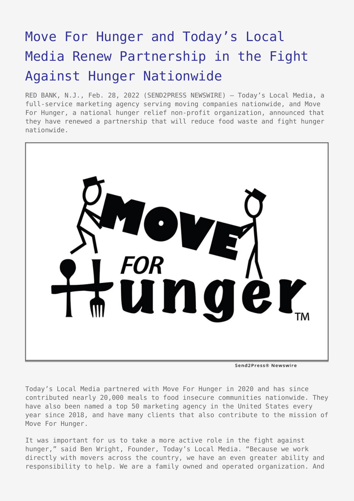## [Move For Hunger and Today's Local](https://www.send2press.com/wire/move-for-hunger-and-todays-local-media-renew-partnership-in-the-fight-against-hunger-nationwide/) [Media Renew Partnership in the Fight](https://www.send2press.com/wire/move-for-hunger-and-todays-local-media-renew-partnership-in-the-fight-against-hunger-nationwide/) [Against Hunger Nationwide](https://www.send2press.com/wire/move-for-hunger-and-todays-local-media-renew-partnership-in-the-fight-against-hunger-nationwide/)

RED BANK, N.J., Feb. 28, 2022 (SEND2PRESS NEWSWIRE) — Today's Local Media, a full-service marketing agency serving moving companies nationwide, and Move For Hunger, a national hunger relief non-profit organization, announced that they have renewed a partnership that will reduce food waste and fight hunger nationwide.



Today's Local Media partnered with Move For Hunger in 2020 and has since contributed nearly 20,000 meals to food insecure communities nationwide. They have also been named a top 50 marketing agency in the United States every year since 2018, and have many clients that also contribute to the mission of Move For Hunger.

It was important for us to take a more active role in the fight against hunger," said Ben Wright, Founder, Today's Local Media. "Because we work directly with movers across the country, we have an even greater ability and responsibility to help. We are a family owned and operated organization. And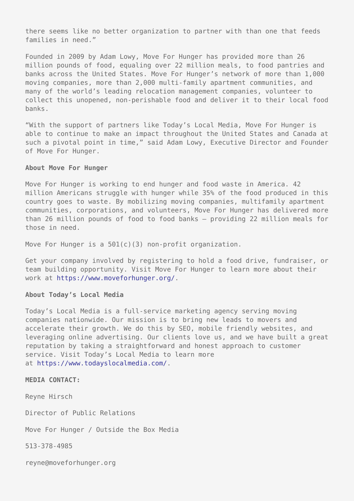there seems like no better organization to partner with than one that feeds families in need."

Founded in 2009 by Adam Lowy, Move For Hunger has provided more than 26 million pounds of food, equaling over 22 million meals, to food pantries and banks across the United States. Move For Hunger's network of more than 1,000 moving companies, more than 2,000 multi-family apartment communities, and many of the world's leading relocation management companies, volunteer to collect this unopened, non-perishable food and deliver it to their local food banks.

"With the support of partners like Today's Local Media, Move For Hunger is able to continue to make an impact throughout the United States and Canada at such a pivotal point in time," said Adam Lowy, Executive Director and Founder of Move For Hunger.

## **About Move For Hunger**

Move For Hunger is working to end hunger and food waste in America. 42 million Americans struggle with hunger while 35% of the food produced in this country goes to waste. By mobilizing moving companies, multifamily apartment communities, corporations, and volunteers, Move For Hunger has delivered more than 26 million pounds of food to food banks – providing 22 million meals for those in need.

Move For Hunger is a 501(c)(3) non-profit organization.

Get your company involved by registering to hold a food drive, fundraiser, or team building opportunity. Visit Move For Hunger to learn more about their work at<https://www.moveforhunger.org/>.

## **About Today's Local Media**

Today's Local Media is a full-service marketing agency serving moving companies nationwide. Our mission is to bring new leads to movers and accelerate their growth. We do this by SEO, mobile friendly websites, and leveraging online advertising. Our clients love us, and we have built a great reputation by taking a straightforward and honest approach to customer service. Visit Today's Local Media to learn more at [https://www.todayslocalmedia.com/.](https://www.todayslocalmedia.com/)

**MEDIA CONTACT:**

Reyne Hirsch

Director of Public Relations

Move For Hunger / Outside the Box Media

513-378-4985

reyne@moveforhunger.org